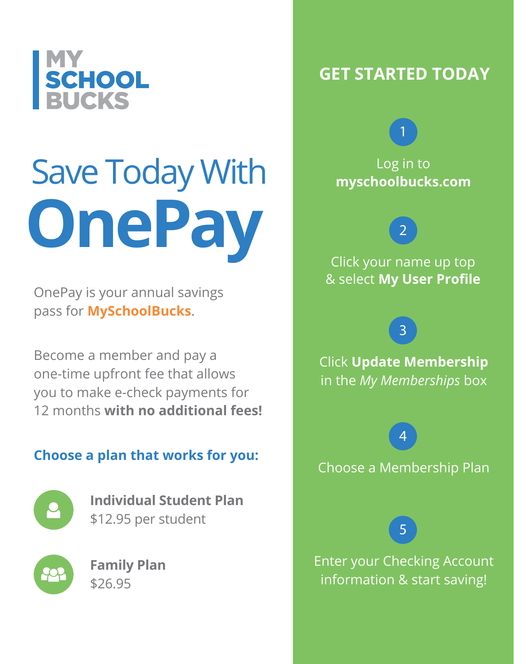

# Save Today With **OnePay**

OnePay is your annual savings pass for **MySchoolBucks**.

Become a member and pay a one-time upfront fee that allows you to make e-check payments for 12 months **with no additional fees!**

### **Choose a plan that works for you:**



**Individual Student Plan** \$12.95 per student



**Family Plan** \$26.95

# **GET STARTED TODAY**

## Log in to **myschoolbucks.com**

1

2

Click your name up top & select **My User Profile**

Click **Update Membership** in the *My Memberships* box

3

Choose a Membership Plan

4

5

Enter your Checking Account information & start saving!